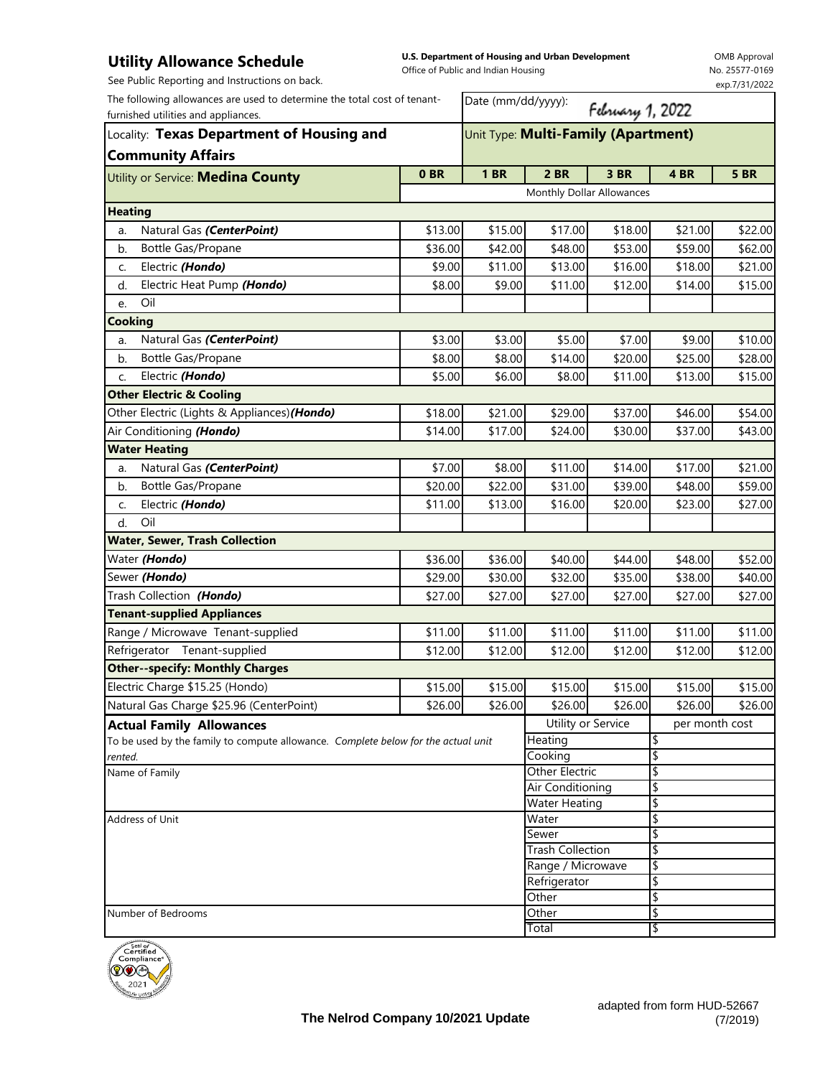## **Utility Allowance Schedule**

**U.S. Department of Housing and Urban Development**  Office of Public and Indian Ho

OMB Approval No. 25577-0169 022

| See Public Reporting and Instructions on back.                                    |                                                         | Office of Public and Indian Housing |                               |         |                | <b>190. 25577-0105</b><br>exp.7/31/2022 |
|-----------------------------------------------------------------------------------|---------------------------------------------------------|-------------------------------------|-------------------------------|---------|----------------|-----------------------------------------|
| The following allowances are used to determine the total cost of tenant-          |                                                         | Date (mm/dd/yyyy):                  |                               |         |                |                                         |
| furnished utilities and appliances.                                               | February 1, 2022<br>Unit Type: Multi-Family (Apartment) |                                     |                               |         |                |                                         |
| Locality: Texas Department of Housing and                                         |                                                         |                                     |                               |         |                |                                         |
| <b>Community Affairs</b>                                                          |                                                         |                                     |                               |         |                |                                         |
| Utility or Service: <b>Medina County</b>                                          | 0 <sub>BR</sub>                                         | <b>1 BR</b>                         | 2 BR                          | 3 BR    | 4BR            | <b>5 BR</b>                             |
|                                                                                   |                                                         |                                     | Monthly Dollar Allowances     |         |                |                                         |
| <b>Heating</b>                                                                    |                                                         |                                     |                               |         |                |                                         |
| Natural Gas (CenterPoint)<br>a.                                                   | \$13.00                                                 | \$15.00                             | \$17.00                       | \$18.00 | \$21.00        | \$22.00                                 |
| Bottle Gas/Propane<br>b.                                                          | \$36.00                                                 | \$42.00                             | \$48.00                       | \$53.00 | \$59.00        | \$62.00                                 |
| Electric (Hondo)<br>c.                                                            | \$9.00                                                  | \$11.00                             | \$13.00                       | \$16.00 | \$18.00        | \$21.00                                 |
| Electric Heat Pump (Hondo)<br>d.                                                  | \$8.00                                                  | \$9.00                              | \$11.00                       | \$12.00 | \$14.00        | \$15.00                                 |
| Oil<br>e.                                                                         |                                                         |                                     |                               |         |                |                                         |
| <b>Cooking</b>                                                                    |                                                         |                                     |                               |         |                |                                         |
| Natural Gas (CenterPoint)<br>a.                                                   | \$3.00                                                  | \$3.00                              | \$5.00                        | \$7.00  | \$9.00         | \$10.00                                 |
| Bottle Gas/Propane<br>b.                                                          | \$8.00                                                  | \$8.00                              | \$14.00                       | \$20.00 | \$25.00        | \$28.00                                 |
| Electric (Hondo)                                                                  | \$5.00                                                  | \$6.00                              | \$8.00                        | \$11.00 |                |                                         |
| C.                                                                                |                                                         |                                     |                               |         | \$13.00        | \$15.00                                 |
| <b>Other Electric &amp; Cooling</b>                                               |                                                         |                                     |                               |         |                |                                         |
| Other Electric (Lights & Appliances) (Hondo)                                      | \$18.00                                                 | \$21.00                             | \$29.00                       | \$37.00 | \$46.00        | \$54.00                                 |
| Air Conditioning (Hondo)                                                          | \$14.00                                                 | \$17.00                             | \$24.00                       | \$30.00 | \$37.00        | \$43.00                                 |
| <b>Water Heating</b>                                                              |                                                         |                                     |                               |         |                |                                         |
| Natural Gas (CenterPoint)<br>a.                                                   | \$7.00                                                  | \$8.00                              | \$11.00                       | \$14.00 | \$17.00        | \$21.00                                 |
| Bottle Gas/Propane<br>b.                                                          | \$20.00                                                 | \$22.00                             | \$31.00                       | \$39.00 | \$48.00        | \$59.00                                 |
| Electric (Hondo)<br>c.                                                            | \$11.00                                                 | \$13.00                             | \$16.00                       | \$20.00 | \$23.00        | \$27.00                                 |
| Oil<br>d.                                                                         |                                                         |                                     |                               |         |                |                                         |
| <b>Water, Sewer, Trash Collection</b>                                             |                                                         |                                     |                               |         |                |                                         |
| Water (Hondo)                                                                     | \$36.00                                                 | \$36.00                             | \$40.00                       | \$44.00 | \$48.00        | \$52.00                                 |
| Sewer (Hondo)                                                                     | \$29.00                                                 | \$30.00                             | \$32.00                       | \$35.00 | \$38.00        | \$40.00                                 |
| Trash Collection (Hondo)                                                          | \$27.00                                                 | \$27.00                             | \$27.00                       | \$27.00 | \$27.00        | \$27.00                                 |
| <b>Tenant-supplied Appliances</b>                                                 |                                                         |                                     |                               |         |                |                                         |
| Range / Microwave Tenant-supplied                                                 | \$11.00                                                 | \$11.00                             | \$11.00                       | \$11.00 | \$11.00        | \$11.00                                 |
| Refrigerator Tenant-supplied                                                      | \$12.00                                                 | \$12.00                             | \$12.00                       | \$12.00 | \$12.00        | \$12.00                                 |
| <b>Other--specify: Monthly Charges</b>                                            |                                                         |                                     |                               |         |                |                                         |
| Electric Charge \$15.25 (Hondo)                                                   | \$15.00                                                 | \$15.00                             | \$15.00                       | \$15.00 | \$15.00        | \$15.00                                 |
| Natural Gas Charge \$25.96 (CenterPoint)                                          | \$26.00                                                 | \$26.00                             | \$26.00                       | \$26.00 | \$26.00        | \$26.00                                 |
| <b>Actual Family Allowances</b>                                                   |                                                         |                                     | Utility or Service            |         | per month cost |                                         |
| To be used by the family to compute allowance. Complete below for the actual unit |                                                         |                                     | Heating                       |         | \$             |                                         |
| rented.                                                                           |                                                         |                                     | Cooking                       |         | \$             |                                         |
| Name of Family                                                                    |                                                         |                                     | <b>Other Electric</b>         |         | \$             |                                         |
|                                                                                   |                                                         | Air Conditioning                    |                               | \$      |                |                                         |
| Address of Unit                                                                   |                                                         |                                     | <b>Water Heating</b><br>Water |         | \$<br>\$       |                                         |
|                                                                                   |                                                         |                                     | Sewer                         |         | \$             |                                         |
|                                                                                   |                                                         | <b>Trash Collection</b>             |                               | \$      |                |                                         |
|                                                                                   | Range / Microwave                                       |                                     |                               | \$      |                |                                         |
|                                                                                   |                                                         |                                     | Refrigerator                  |         | \$             |                                         |
|                                                                                   |                                                         |                                     | Other                         |         | \$             |                                         |
| Number of Bedrooms                                                                |                                                         |                                     | Other                         |         | \$             |                                         |
|                                                                                   |                                                         |                                     | Total                         |         | \$             |                                         |